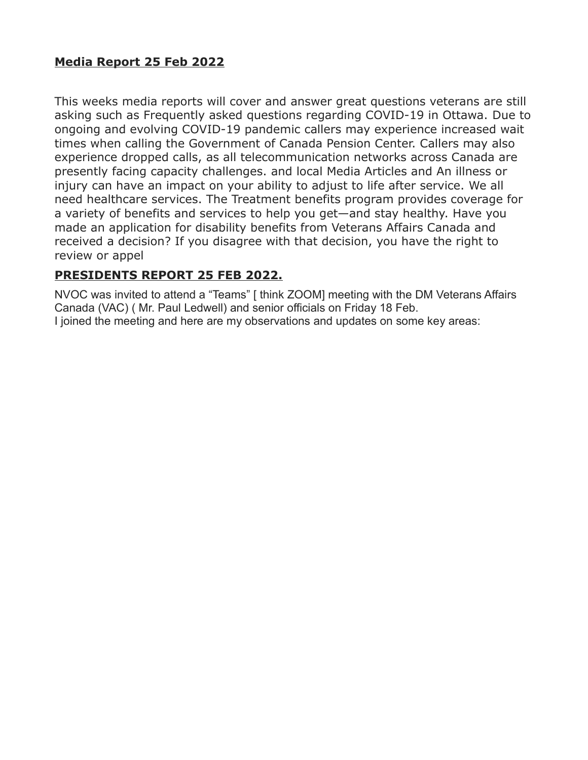### **Media Report 25 Feb 2022**

This weeks media reports will cover and answer great questions veterans are still asking such as Frequently asked questions regarding COVID-19 in Ottawa. Due to ongoing and evolving COVID-19 pandemic callers may experience increased wait times when calling the Government of Canada Pension Center. Callers may also experience dropped calls, as all telecommunication networks across Canada are presently facing capacity challenges. and local Media Articles and An illness or injury can have an impact on your ability to adjust to life after service. We all need healthcare services. The Treatment benefits program provides coverage for a variety of benefits and services to help you get—and stay healthy. Have you made an application for disability benefits from Veterans Affairs Canada and received a decision? If you disagree with that decision, you have the right to review or appel

## **PRESIDENTS REPORT 25 FEB 2022.**

NVOC was invited to attend a "Teams" [ think ZOOM] meeting with the DM Veterans Affairs Canada (VAC) ( Mr. Paul Ledwell) and senior officials on Friday 18 Feb. I joined the meeting and here are my observations and updates on some key areas: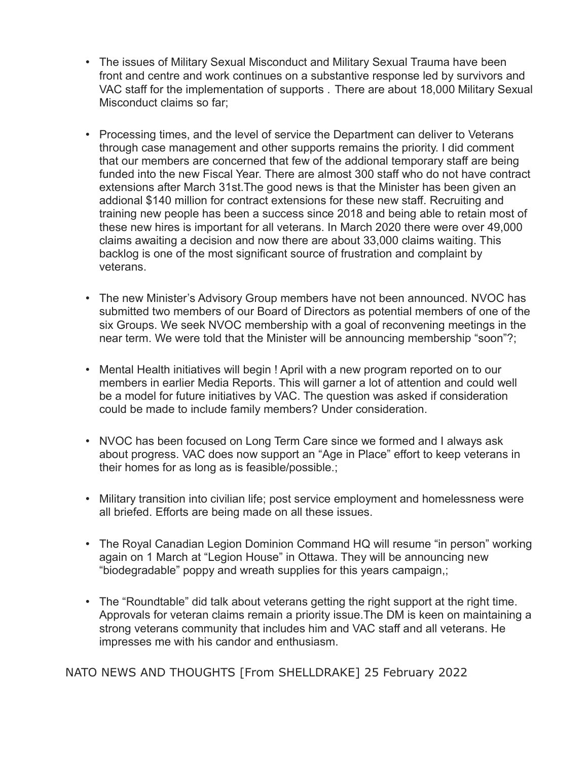- The issues of Military Sexual Misconduct and Military Sexual Trauma have been front and centre and work continues on a substantive response led by survivors and VAC staff for the implementation of supports . There are about 18,000 Military Sexual Misconduct claims so far;
- Processing times, and the level of service the Department can deliver to Veterans through case management and other supports remains the priority. I did comment that our members are concerned that few of the addional temporary staff are being funded into the new Fiscal Year. There are almost 300 staff who do not have contract extensions after March 31st.The good news is that the Minister has been given an addional \$140 million for contract extensions for these new staff. Recruiting and training new people has been a success since 2018 and being able to retain most of these new hires is important for all veterans. In March 2020 there were over 49,000 claims awaiting a decision and now there are about 33,000 claims waiting. This backlog is one of the most significant source of frustration and complaint by veterans.
- The new Minister's Advisory Group members have not been announced. NVOC has submitted two members of our Board of Directors as potential members of one of the six Groups. We seek NVOC membership with a goal of reconvening meetings in the near term. We were told that the Minister will be announcing membership "soon"?;
- Mental Health initiatives will begin ! April with a new program reported on to our members in earlier Media Reports. This will garner a lot of attention and could well be a model for future initiatives by VAC. The question was asked if consideration could be made to include family members? Under consideration.
- NVOC has been focused on Long Term Care since we formed and I always ask about progress. VAC does now support an "Age in Place" effort to keep veterans in their homes for as long as is feasible/possible.;
- Military transition into civilian life; post service employment and homelessness were all briefed. Efforts are being made on all these issues.
- The Royal Canadian Legion Dominion Command HQ will resume "in person" working again on 1 March at "Legion House" in Ottawa. They will be announcing new "biodegradable" poppy and wreath supplies for this years campaign,;
- The "Roundtable" did talk about veterans getting the right support at the right time. Approvals for veteran claims remain a priority issue.The DM is keen on maintaining a strong veterans community that includes him and VAC staff and all veterans. He impresses me with his candor and enthusiasm.

NATO NEWS AND THOUGHTS [From SHELLDRAKE] 25 February 2022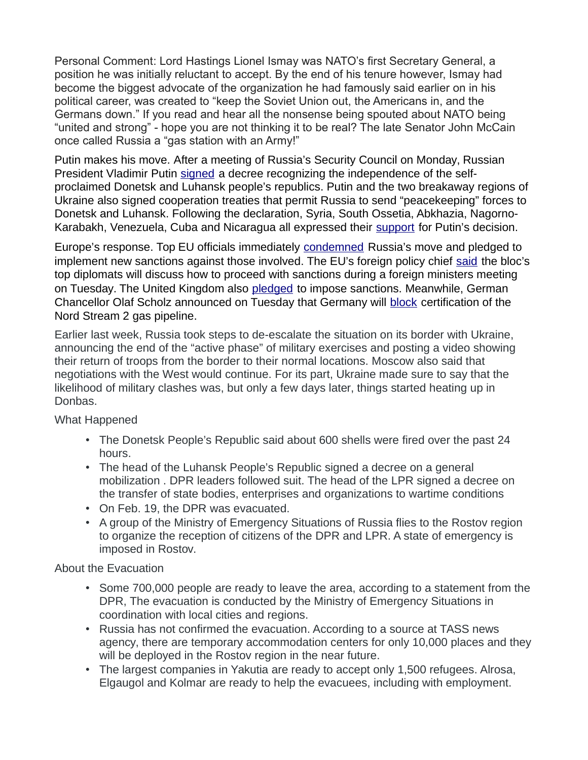Personal Comment: Lord Hastings Lionel Ismay was NATO's first Secretary General, a position he was initially reluctant to accept. By the end of his tenure however, Ismay had become the biggest advocate of the organization he had famously said earlier on in his political career, was created to "keep the Soviet Union out, the Americans in, and the Germans down." If you read and hear all the nonsense being spouted about NATO being "united and strong" - hope you are not thinking it to be real? The late Senator John McCain once called Russia a "gas station with an Army!"

Putin makes his move. After a meeting of Russia's Security Council on Monday, Russian President Vladimir Putin [signed](https://geopoliticalfutures.com/mailster/305225/8f7083d1226c6fc4572ce12595b6890a/aHR0cDovL2tyZW1saW4ucnUvZXZlbnRzL3ByZXNpZGVudC9uZXdzLzY3ODI5) a decree recognizing the independence of the selfproclaimed Donetsk and Luhansk people's republics. Putin and the two breakaway regions of Ukraine also signed cooperation treaties that permit Russia to send "peacekeeping" forces to Donetsk and Luhansk. Following the declaration, Syria, South Ossetia, Abkhazia, Nagorno-Karabakh, Venezuela, Cuba and Nicaragua all expressed their [support](https://geopoliticalfutures.com/mailster/305225/8f7083d1226c6fc4572ce12595b6890a/aHR0cHM6Ly93d3cucmJjLnJ1L3BvbGl0aWNzLzIyLzAyLzIwMjIvNjIxNDAyYmU5YTc5NDc1N2VkYTNhMDcz) for Putin's decision.

Europe's response. Top EU officials immediately [condemned](https://geopoliticalfutures.com/mailster/305225/8f7083d1226c6fc4572ce12595b6890a/aHR0cHM6Ly93d3cuY29uc2lsaXVtLmV1cm9wYS5ldS9lbi9wcmVzcy9wcmVzcy1yZWxlYXNlcy8yMDIyLzAyLzIxL3ByZXNzLXN0YXRlbWVudC1ieS1wcmVzaWRlbnQtY2hhcmxlcy1taWNoZWwtb2YtdGhlLWV1cm9wZWFuLWNvdW5jaWwtYW5kLXByZXNpZGVudC11cnN1bGEtdm9uLWRlci1sZXllbi1vZi10aGUtZXVyb3BlYW4tY29tbWlzc2lvbi0yMS1mZWJydWFyeS0yMDIyLw) Russia's move and pledged to implement new sanctions against those involved. The EU's foreign policy chief [said](https://geopoliticalfutures.com/mailster/305225/8f7083d1226c6fc4572ce12595b6890a/aHR0cHM6Ly93d3cucmV1dGVycy5jb20vd29ybGQvZXVyb3BlL2V1LWVudm95cy1kaXNjdXNzLXNjb3BlLXNhbmN0aW9ucy1hZnRlci1ydXNzaWFuLW1vdmUtdWtyYWluZS1yZWdpb25zLTIwMjItMDItMjIv) the bloc's top diplomats will discuss how to proceed with sanctions during a foreign ministers meeting on Tuesday. The United Kingdom also [pledged](https://geopoliticalfutures.com/mailster/305225/8f7083d1226c6fc4572ce12595b6890a/aHR0cHM6Ly93d3cuYmJjLmNvbS9uZXdzL3VrLXBvbGl0aWNzLTYwNDc2MTM3) to impose sanctions. Meanwhile, German Chancellor Olaf Scholz announced on Tuesday that Germany will [block](https://geopoliticalfutures.com/mailster/305225/8f7083d1226c6fc4572ce12595b6890a/aHR0cHM6Ly93d3cucG9saXRpY28uZXUvYXJ0aWNsZS9nZXJtYW55LXRvLXN0b3Atbm9yZC1zdHJlYW0tMi8) certification of the Nord Stream 2 gas pipeline.

Earlier last week, Russia took steps to de-escalate the situation on its border with Ukraine, announcing the end of the "active phase" of military exercises and posting a video showing their return of troops from the border to their normal locations. Moscow also said that negotiations with the West would continue. For its part, Ukraine made sure to say that the likelihood of military clashes was, but only a few days later, things started heating up in Donbas.

What Happened

- The Donetsk People's Republic said about 600 shells were fired over the past 24 hours.
- The head of the Luhansk People's Republic signed a decree on a general mobilization . DPR leaders followed suit. The head of the LPR signed a decree on the transfer of state bodies, enterprises and organizations to wartime conditions
- On Feb. 19, the DPR was evacuated.
- A group of the Ministry of Emergency Situations of Russia flies to the Rostov region to organize the reception of citizens of the DPR and LPR. A state of emergency is imposed in Rostov.

About the Evacuation

- Some 700,000 people are ready to leave the area, according to a statement from the DPR, The evacuation is conducted by the Ministry of Emergency Situations in coordination with local cities and regions.
- Russia has not confirmed the evacuation. According to a source at TASS news agency, there are temporary accommodation centers for only 10,000 places and they will be deployed in the Rostov region in the near future.
- The largest companies in Yakutia are ready to accept only 1,500 refugees. Alrosa, Elgaugol and Kolmar are ready to help the evacuees, including with employment.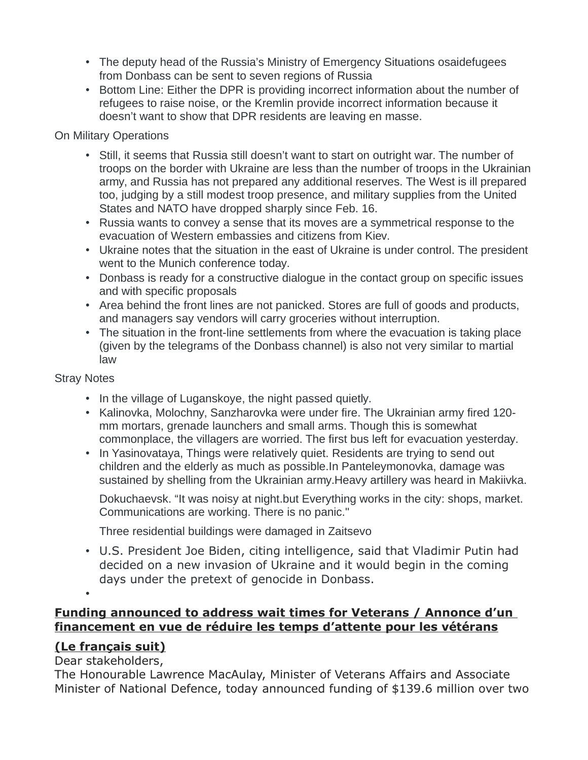- The deputy head of the Russia's Ministry of Emergency Situations osaidefugees from Donbass can be sent to seven regions of Russia
- Bottom Line: Either the DPR is providing incorrect information about the number of refugees to raise noise, or the Kremlin provide incorrect information because it doesn't want to show that DPR residents are leaving en masse.

#### On Military Operations

- Still, it seems that Russia still doesn't want to start on outright war. The number of troops on the border with Ukraine are less than the number of troops in the Ukrainian army, and Russia has not prepared any additional reserves. The West is ill prepared too, judging by a still modest troop presence, and military supplies from the United States and NATO have dropped sharply since Feb. 16.
- Russia wants to convey a sense that its moves are a symmetrical response to the evacuation of Western embassies and citizens from Kiev.
- Ukraine notes that the situation in the east of Ukraine is under control. The president went to the Munich conference today.
- Donbass is ready for a constructive dialogue in the contact group on specific issues and with specific proposals
- Area behind the front lines are not panicked. Stores are full of goods and products, and managers say vendors will carry groceries without interruption.
- The situation in the front-line settlements from where the evacuation is taking place (given by the telegrams of the Donbass channel) is also not very similar to martial law

#### Stray Notes

- In the village of Luganskoye, the night passed quietly.
- Kalinovka, Molochny, Sanzharovka were under fire. The Ukrainian army fired 120 mm mortars, grenade launchers and small arms. Though this is somewhat commonplace, the villagers are worried. The first bus left for evacuation yesterday.
- In Yasinovataya, Things were relatively quiet. Residents are trying to send out children and the elderly as much as possible.In Panteleymonovka, damage was sustained by shelling from the Ukrainian army.Heavy artillery was heard in Makiivka.

Dokuchaevsk. "It was noisy at night.but Everything works in the city: shops, market. Communications are working. There is no panic."

Three residential buildings were damaged in Zaitsevo

• U.S. President Joe Biden, citing intelligence, said that Vladimir Putin had decided on a new invasion of Ukraine and it would begin in the coming days under the pretext of genocide in Donbass.

### • **Funding announced to address wait times for Veterans / Annonce d'un financement en vue de réduire les temps d'attente pour les vétérans**

#### **(Le français suit)**

#### Dear stakeholders,

The Honourable Lawrence MacAulay, Minister of Veterans Affairs and Associate Minister of National Defence, today announced funding of \$139.6 million over two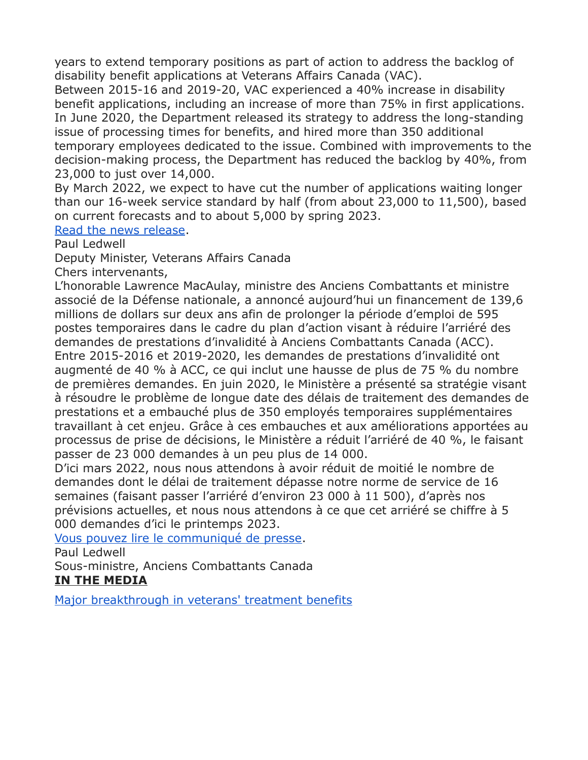years to extend temporary positions as part of action to address the backlog of disability benefit applications at Veterans Affairs Canada (VAC).

Between 2015-16 and 2019-20, VAC experienced a 40% increase in disability benefit applications, including an increase of more than 75% in first applications. In June 2020, the Department released its strategy to address the long-standing issue of processing times for benefits, and hired more than 350 additional temporary employees dedicated to the issue. Combined with improvements to the decision-making process, the Department has reduced the backlog by 40%, from 23,000 to just over 14,000.

By March 2022, we expect to have cut the number of applications waiting longer than our 16-week service standard by half (from about 23,000 to 11,500), based on current forecasts and to about 5,000 by spring 2023.

[Read the news release.](https://www.canada.ca/en/veterans-affairs-canada/news/2022/02/funding-announced-to-address-wait-times-for-veterans.html)

Paul Ledwell

Deputy Minister, Veterans Affairs Canada

Chers intervenants,

L'honorable Lawrence MacAulay, ministre des Anciens Combattants et ministre associé de la Défense nationale, a annoncé aujourd'hui un financement de 139,6 millions de dollars sur deux ans afin de prolonger la période d'emploi de 595 postes temporaires dans le cadre du plan d'action visant à réduire l'arriéré des demandes de prestations d'invalidité à Anciens Combattants Canada (ACC). Entre 2015-2016 et 2019-2020, les demandes de prestations d'invalidité ont augmenté de 40 % à ACC, ce qui inclut une hausse de plus de 75 % du nombre de premières demandes. En juin 2020, le Ministère a présenté sa stratégie visant à résoudre le problème de longue date des délais de traitement des demandes de prestations et a embauché plus de 350 employés temporaires supplémentaires travaillant à cet enjeu. Grâce à ces embauches et aux améliorations apportées au processus de prise de décisions, le Ministère a réduit l'arriéré de 40 %, le faisant passer de 23 000 demandes à un peu plus de 14 000.

D'ici mars 2022, nous nous attendons à avoir réduit de moitié le nombre de demandes dont le délai de traitement dépasse notre norme de service de 16 semaines (faisant passer l'arriéré d'environ 23 000 à 11 500), d'après nos prévisions actuelles, et nous nous attendons à ce que cet arriéré se chiffre à 5 000 demandes d'ici le printemps 2023.

[Vous pouvez lire le communiqué de presse.](https://www.canada.ca/fr/anciens-combattants-canada/nouvelles/2022/02/annonce-dun-financement-en-vue-de-reduire-les-temps-dattente-pour-les-veterans.html)

Paul Ledwell

Sous-ministre, Anciens Combattants Canada

#### **IN THE MEDIA**

[Major breakthrough in veterans' treatment benefits](http://sm1.multiview.com/t/gcH1AAhbaBPWMP0lQLFWeCUK7WaaCCvFQRUoaaaaCCvBRA4L37aa?m=0XkUyTulmblek~25x7Ules.glm~amp;k=mlWikhgzYpXsW~25BtiXse.uX0~amp;e=IU~amp;4=)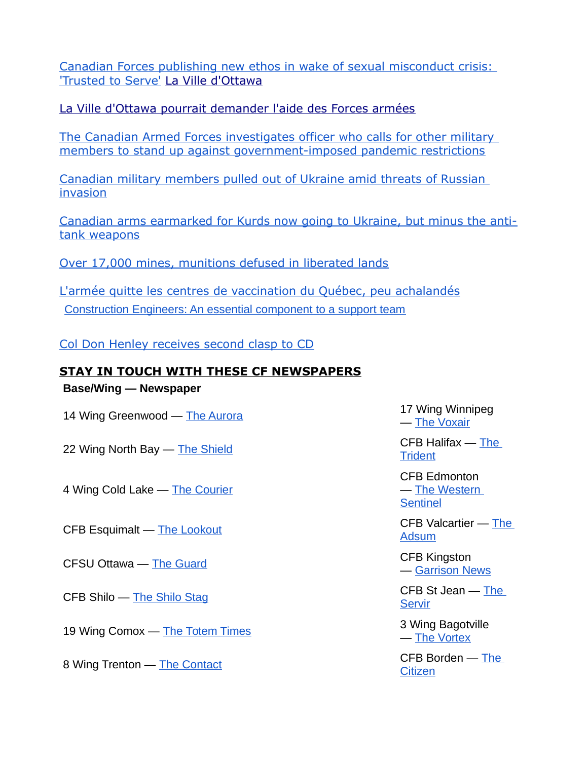[Canadian Forces publishing new ethos in wake of sexual misconduct crisis:](http://sm1.multiview.com/t/gcH1AAhbaBPWMP0lQLFWeCUK7WaaCCvFQRUoaaaaCCvBRA4L37aa?m=0XkUyTulmblek~25x7Ules.glm~amp;k=mlWikhgzYpXsW~25BtiXse.uX0~amp;e=m~amp;q=)  ['Trusted to Serve'](http://sm1.multiview.com/t/gcH1AAhbaBPWMP0lQLFWeCUK7WaaCCvFQRUoaaaaCCvBRA4L37aa?m=0XkUyTulmblek~25x7Ules.glm~amp;k=mlWikhgzYpXsW~25BtiXse.uX0~amp;e=m~amp;q=) [La Ville d'Ottawa](http://sm1.multiview.com/t/gcH1AAhbaBPWMP0lQLFWeCUK7WaaCCvFQRUoaaaaCCvBRA4L37aa?m=0XkUyTulmblek~25x7Ules.glm~amp;k=mlWikhgzYpXsW~25BtiXse.uX0~amp;e=o~amp;q=)

[La Ville d'Ottawa pourrait demander l'aide des Forces armées](http://sm1.multiview.com/t/gcH1AAhbaBPWMP0lQLFWeCUK7WaaCCvFQRUoaaaaCCvBRA4L37aa?m=0XkUyTulmblek~25x7Ules.glm~amp;k=mlWikhgzYpXsW~25BtiXse.uX0~amp;e=o~amp;q=)

[The Canadian Armed Forces investigates officer who calls for other military](http://sm1.multiview.com/t/gcH1AAhbaBPWMP0lQLFWeCUK7WaaCCvFQRUoaaaaCCvBRA4L37aa?m=0XkUyTulmblek~25x7Ules.glm~amp;k=mlWikhgzYpXsW~25BtiXse.uX0~amp;e=q~amp;q=)  [members to stand up against government-imposed pandemic restrictions](http://sm1.multiview.com/t/gcH1AAhbaBPWMP0lQLFWeCUK7WaaCCvFQRUoaaaaCCvBRA4L37aa?m=0XkUyTulmblek~25x7Ules.glm~amp;k=mlWikhgzYpXsW~25BtiXse.uX0~amp;e=q~amp;q=)

[Canadian military members pulled out of Ukraine amid threats of Russian](http://sm1.multiview.com/t/gcH1AAhbaBPWMP0lQLFWeCUK7WaaCCvFQRUoaaaaCCvBRA4L37aa?m=0XkUyTulmblek~25x7Ules.glm~amp;k=mlWikhgzYpXsW~25BtiXse.uX0~amp;e=s~amp;q=)  [invasion](http://sm1.multiview.com/t/gcH1AAhbaBPWMP0lQLFWeCUK7WaaCCvFQRUoaaaaCCvBRA4L37aa?m=0XkUyTulmblek~25x7Ules.glm~amp;k=mlWikhgzYpXsW~25BtiXse.uX0~amp;e=s~amp;q=)

[Canadian arms earmarked for Kurds now going to Ukraine, but minus the anti](http://sm1.multiview.com/t/gcH1AAhbaBPWMP0lQLFWeCUK7WaaCCvFQRUoaaaaCCvBRA4L37aa?m=0XkUyTulmblek~25x7Ules.glm~amp;k=mlWikhgzYpXsW~25BtiXse.uX0~amp;e=w~amp;q=)[tank weapons](http://sm1.multiview.com/t/gcH1AAhbaBPWMP0lQLFWeCUK7WaaCCvFQRUoaaaaCCvBRA4L37aa?m=0XkUyTulmblek~25x7Ules.glm~amp;k=mlWikhgzYpXsW~25BtiXse.uX0~amp;e=w~amp;q=)

[Over 17,000 mines, munitions defused in liberated lands](http://sm1.multiview.com/t/gcH1AAhbaBPWMP0lQLFWeCUK7WaaCCvFQRUoaaaaCCvBRA4L37aa?m=0XkUyTulmblek~25x7Ules.glm~amp;k=mlWikhgzYpXsW~25BtiXse.uX0~amp;e=Io~amp;4=)

[L'armée quitte les centres de vaccination du Québec, peu achalandés](http://sm1.multiview.com/t/gcH1AAhbaBPWMP0lQLFWeCUK7WaaCCvFQRUoaaaaCCvBRA4L37aa?m=0XkUyTulmblek~25x7Ules.glm~amp;k=mlWikhgzYpXsW~25BtiXse.uX0~amp;e=If~amp;4=) [Construction Engineers: An essential component to a support team](http://sm1.multiview.com/t/gcH1AAhbaBPWMP0lQLFWeCUK7WaaCCvFQRUoaaaaCCvBRA4L37aa?m=0XkUyTulmblek~25x7Ules.glm~amp;k=mlWikhgzYpXsW~25BtiXse.uX0~amp;e=C~amp;q=)

[Col Don Henley receives second clasp to CD](http://sm1.multiview.com/t/gcH1AAhbaBPWMP0lQLFWeCUK7WaaCCvFQRUoaaaaCCvBRA4L37aa?m=0XkUyTulmblek~25x7Ules.glm~amp;k=mlWikhgzYpXsW~25BtiXse.uX0~amp;e=F~amp;q=)

## **STAY IN TOUCH WITH THESE CF NEWSPAPERS**

**Base/Wing — Newspaper**

14 Wing Greenwood — [The Aurora](http://sm1.multiview.com/t/gcH1AAhbaBPWMP0lQLFWeCUK7WaaCCvFQRUoaaaaCCvBRA4L37aa?m=0XkUyTulmblek~25x7Ules.glm~amp;k=mlWikhgzYpXsW~25BtiXse.uX0~amp;e=Ih~amp;4=) 17 Wing Winnipeg

22 Wing North Bay — [The Shield](http://sm1.multiview.com/t/gcH1AAhbaBPWMP0lQLFWeCUK7WaaCCvFQRUoaaaaCCvBRA4L37aa?m=0XkUyTulmblek~25x7Ules.glm~amp;k=mlWikhgzYpXsW~25BtiXse.uX0~amp;e=Ij~amp;4=)  $\overline{C}$ FB Halifax — [The](http://sm1.multiview.com/t/gcH1AAhbaBPWMP0lQLFWeCUK7WaaCCvFQRUoaaaaCCvBRA4L37aa?m=0XkUyTulmblek~25x7Ules.glm~amp;k=mlWikhgzYpXsW~25BtiXse.uX0~amp;e=Ik~amp;4=) CFB Halifax — The CFB Halifax — The CFB Halifax — The CFB Halifax — The CFB Halifax — The CFB Halifax — The CFB Halifax — The CFB Halifax — The CFB Halifax — The CFB

4 Wing Cold Lake — [The Courier](http://sm1.multiview.com/t/gcH1AAhbaBPWMP0lQLFWeCUK7WaaCCvFQRUoaaaaCCvBRA4L37aa?m=0XkUyTulmblek~25x7Ules.glm~amp;k=mlWikhgzYpXsW~25BtiXse.uX0~amp;e=Il~amp;4=)

CFSU Ottawa — [The Guard](http://sm1.multiview.com/t/gcH1AAhbaBPWMP0lQLFWeCUK7WaaCCvFQRUoaaaaCCvBRA4L37aa?m=0XkUyTulmblek~25x7Ules.glm~amp;k=mlWikhgzYpXsW~25BtiXse.uX0~amp;e=z~amp;q=) CFSU Ottawa — The Guard CFSU Ottawa — CFSU Ottawa 2011

19 Wing Comox — [The Totem Times](http://sm1.multiview.com/t/gcH1AAhbaBPWMP0lQLFWeCUK7WaaCCvFQRUoaaaaCCvBRA4L37aa?m=0XkUyTulmblek~25x7Ules.glm~amp;k=mlWikhgzYpXsW~25BtiXse.uX0~amp;e=3~amp;q=) 3 Wing Bagotville

— [The Voxair](http://sm1.multiview.com/t/gcH1AAhbaBPWMP0lQLFWeCUK7WaaCCvFQRUoaaaaCCvBRA4L37aa?m=0XkUyTulmblek~25x7Ules.glm~amp;k=mlWikhgzYpXsW~25BtiXse.uX0~amp;e=Ii~amp;4=)

**[Trident](http://sm1.multiview.com/t/gcH1AAhbaBPWMP0lQLFWeCUK7WaaCCvFQRUoaaaaCCvBRA4L37aa?m=0XkUyTulmblek~25x7Ules.glm~amp;k=mlWikhgzYpXsW~25BtiXse.uX0~amp;e=Ik~amp;4=)** 

CFB Edmonton — [The Western](http://sm1.multiview.com/t/gcH1AAhbaBPWMP0lQLFWeCUK7WaaCCvFQRUoaaaaCCvBRA4L37aa?m=0XkUyTulmblek~25x7Ules.glm~amp;k=mlWikhgzYpXsW~25BtiXse.uX0~amp;e=Im~amp;4=)  **[Sentinel](http://sm1.multiview.com/t/gcH1AAhbaBPWMP0lQLFWeCUK7WaaCCvFQRUoaaaaCCvBRA4L37aa?m=0XkUyTulmblek~25x7Ules.glm~amp;k=mlWikhgzYpXsW~25BtiXse.uX0~amp;e=Im~amp;4=)** 

CFB Esquimalt — [The Lookout](http://sm1.multiview.com/t/gcH1AAhbaBPWMP0lQLFWeCUK7WaaCCvFQRUoaaaaCCvBRA4L37aa?m=0XkUyTulmblek~25x7Ules.glm~amp;k=mlWikhgzYpXsW~25BtiXse.uX0~amp;e=Ie~amp;4=) CFB Valcartier — The **[Adsum](http://sm1.multiview.com/t/gcH1AAhbaBPWMP0lQLFWeCUK7WaaCCvFQRUoaaaaCCvBRA4L37aa?m=0XkUyTulmblek~25x7Ules.glm~amp;k=mlWikhgzYpXsW~25BtiXse.uX0~amp;e=y~amp;q=)** 

— [Garrison News](http://sm1.multiview.com/t/gcH1AAhbaBPWMP0lQLFWeCUK7WaaCCvFQRUoaaaaCCvBRA4L37aa?m=0XkUyTulmblek~25x7Ules.glm~amp;k=mlWikhgzYpXsW~25BtiXse.uX0~amp;e=0~amp;q=)

CFB Shilo — [The Shilo Stag](http://sm1.multiview.com/t/gcH1AAhbaBPWMP0lQLFWeCUK7WaaCCvFQRUoaaaaCCvBRA4L37aa?m=0XkUyTulmblek~25x7Ules.glm~amp;k=mlWikhgzYpXsW~25BtiXse.uX0~amp;e=1~amp;q=) CFB St Jean — The **[Servir](http://sm1.multiview.com/t/gcH1AAhbaBPWMP0lQLFWeCUK7WaaCCvFQRUoaaaaCCvBRA4L37aa?m=0XkUyTulmblek~25x7Ules.glm~amp;k=mlWikhgzYpXsW~25BtiXse.uX0~amp;e=2~amp;q=)** 

— [The Vortex](http://sm1.multiview.com/t/gcH1AAhbaBPWMP0lQLFWeCUK7WaaCCvFQRUoaaaaCCvBRA4L37aa?m=0XkUyTulmblek~25x7Ules.glm~amp;k=mlWikhgzYpXsW~25BtiXse.uX0~amp;e=4~amp;q=)

8 Wing Trenton — [The Contact](http://sm1.multiview.com/t/gcH1AAhbaBPWMP0lQLFWeCUK7WaaCCvFQRUoaaaaCCvBRA4L37aa?m=0XkUyTulmblek~25x7Ules.glm~amp;k=mlWikhgzYpXsW~25BtiXse.uX0~amp;e=5~amp;q=) CFB Borden — The **[Citizen](http://sm1.multiview.com/t/gcH1AAhbaBPWMP0lQLFWeCUK7WaaCCvFQRUoaaaaCCvBRA4L37aa?m=0XkUyTulmblek~25x7Ules.glm~amp;k=mlWikhgzYpXsW~25BtiXse.uX0~amp;e=6~amp;q=)**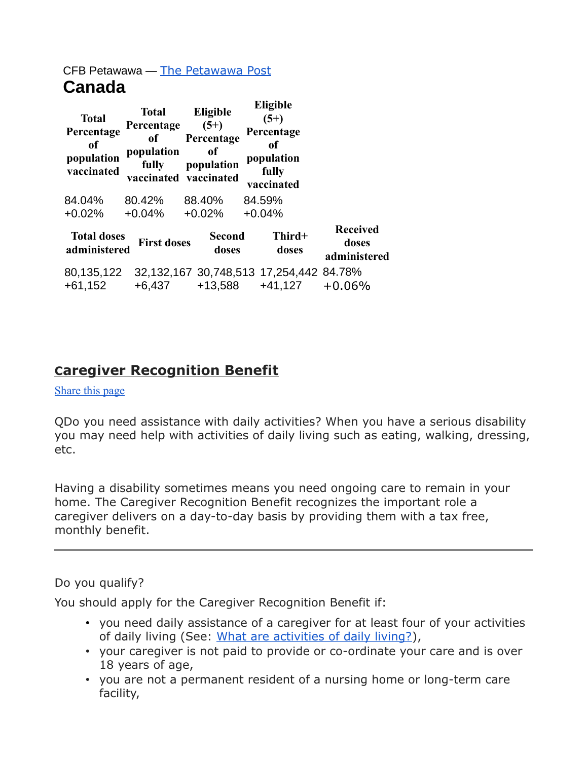## CFB Petawawa — [The Petawawa Post](http://sm1.multiview.com/t/gcH1AAhbaBPWMP0lQLFWeCUK7WaaCCvFQRUoaaaaCCvBRA4L37aa?m=0XkUyTulmblek~25x7Ules.glm~amp;k=mlWikhgzYpXsW~25BtiXse.uX0~amp;e=~7E~amp;4=) **Canada**

| <b>Total</b><br>Percentage<br>of<br>population<br>vaccinated | <b>Total</b><br>Percentage<br>of<br>population<br>fully<br>vaccinated vaccinated | Eligible<br>$(5+)$<br>Percentage<br>0f<br>population        | $(5+)$<br>fully | Eligible<br>Percentage<br>of<br>population<br>vaccinated |                                          |
|--------------------------------------------------------------|----------------------------------------------------------------------------------|-------------------------------------------------------------|-----------------|----------------------------------------------------------|------------------------------------------|
| 84.04%                                                       | 80.42%                                                                           | 88.40%                                                      | 84.59%          |                                                          |                                          |
| $+0.02%$                                                     | $+0.04%$                                                                         | $+0.02%$                                                    | $+0.04%$        |                                                          |                                          |
| <b>Total doses</b><br>administered                           | <b>First doses</b>                                                               | <b>Second</b><br>doses                                      |                 | Third+<br>doses                                          | <b>Received</b><br>doses<br>administered |
| 80,135,122<br>$+61,152$                                      | $+6,437$                                                                         | 32, 132, 167 30, 748, 513 17, 254, 442 84. 78%<br>$+13,588$ |                 | $+41,127$                                                | $+0.06%$                                 |

## **Caregiver Recognition Benefit**

#### [Share this page](https://www.veterans.gc.ca/eng/family-caregiver/financial-programs-services/caregiver-recognition-benefit#shr-pg-pnl1)

QDo you need assistance with daily activities? When you have a serious disability you may need help with activities of daily living such as eating, walking, dressing, etc.

Having a disability sometimes means you need ongoing care to remain in your home. The Caregiver Recognition Benefit recognizes the important role a caregiver delivers on a day-to-day basis by providing them with a tax free, monthly benefit.

#### Do you qualify?

You should apply for the Caregiver Recognition Benefit if:

- you need daily assistance of a caregiver for at least four of your activities of daily living (See: [What are activities of daily living?\)](https://www.veterans.gc.ca/eng/housing-and-home-life/help-at-home/caregiver-recognition-benefit/crb-faq#q5),
- your caregiver is not paid to provide or co-ordinate your care and is over 18 years of age,
- you are not a permanent resident of a nursing home or long-term care facility,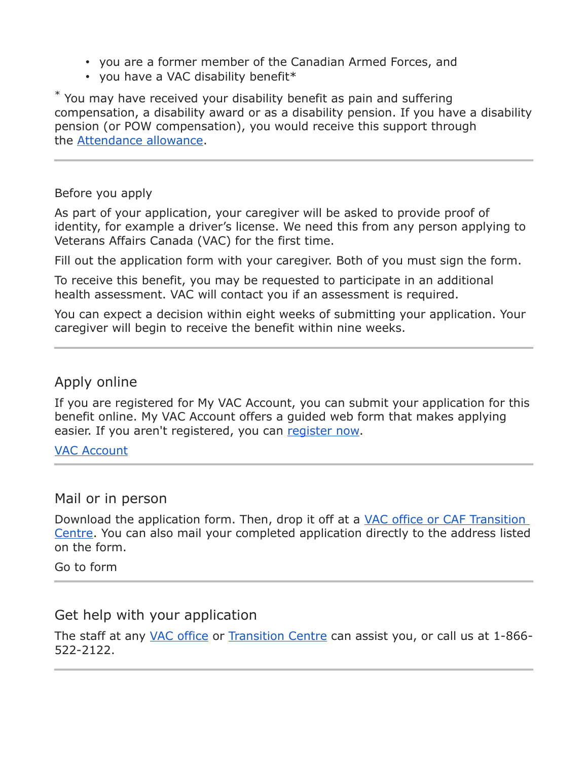- you are a former member of the Canadian Armed Forces, and
- you have a VAC disability benefit\*

\* You may have received your disability benefit as pain and suffering compensation, a disability award or as a disability pension. If you have a disability pension (or POW compensation), you would receive this support through the [Attendance allowance.](https://www.veterans.gc.ca/eng/health-support/physical-health-and-wellness/compensation-illness-injury/attendance-allowance)

#### Before you apply

As part of your application, your caregiver will be asked to provide proof of identity, for example a driver's license. We need this from any person applying to Veterans Affairs Canada (VAC) for the first time.

Fill out the application form with your caregiver. Both of you must sign the form.

To receive this benefit, you may be requested to participate in an additional health assessment. VAC will contact you if an assessment is required.

You can expect a decision within eight weeks of submitting your application. Your caregiver will begin to receive the benefit within nine weeks.

## Apply online

If you are registered for My VAC Account, you can submit your application for this benefit online. My VAC Account offers a guided web form that makes applying easier. If you aren't registered, you can [register now.](https://www.veterans.gc.ca/eng/e_services/register)

#### [VAC Account](https://www.veterans.gc.ca/eng/e_services)

#### Mail or in person

Download the application form. Then, drop it off at a [VAC office or CAF Transition](https://www.veterans.gc.ca/eng/contact)  [Centre.](https://www.veterans.gc.ca/eng/contact) You can also mail your completed application directly to the address listed on the form.

Go to form

## Get help with your application

The staff at any *[VAC office](https://www.veterans.gc.ca/eng/contact) or [Transition Centre](https://www.veterans.gc.ca/eng/resources/transition-centre) can assist you*, or call us at 1-866-522-2122.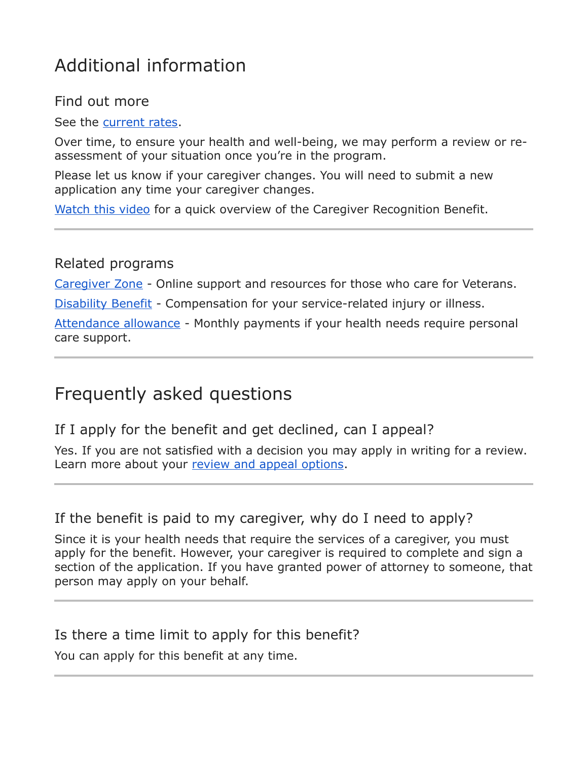# Additional information

## Find out more

See the [current rates.](https://www.veterans.gc.ca/eng/resources/rates#fcrb)

Over time, to ensure your health and well-being, we may perform a review or reassessment of your situation once you're in the program.

Please let us know if your caregiver changes. You will need to submit a new application any time your caregiver changes.

[Watch this video](https://www.veterans.gc.ca/eng/about-vac/news-media/services-benefits-videos#crb) for a quick overview of the Caregiver Recognition Benefit.

## Related programs

[Caregiver Zone](https://caregiverzone.ca/#!/forefront/home) - Online support and resources for those who care for Veterans.

[Disability Benefit](https://www.veterans.gc.ca/eng/health-support/physical-health-and-wellness/compensation-illness-injury/disability-benefits) - Compensation for your service-related injury or illness.

[Attendance allowance](https://www.veterans.gc.ca/eng/health-support/physical-health-and-wellness/compensation-illness-injury/attendance-allowance) - Monthly payments if your health needs require personal care support.

# Frequently asked questions

If I apply for the benefit and get declined, can I appeal?

Yes. If you are not satisfied with a decision you may apply in writing for a review. Learn more about your [review and appeal options.](https://www.veterans.gc.ca/eng/veterans-rights/how-to-appeal)

## If the benefit is paid to my caregiver, why do I need to apply?

Since it is your health needs that require the services of a caregiver, you must apply for the benefit. However, your caregiver is required to complete and sign a section of the application. If you have granted power of attorney to someone, that person may apply on your behalf.

## Is there a time limit to apply for this benefit?

You can apply for this benefit at any time.